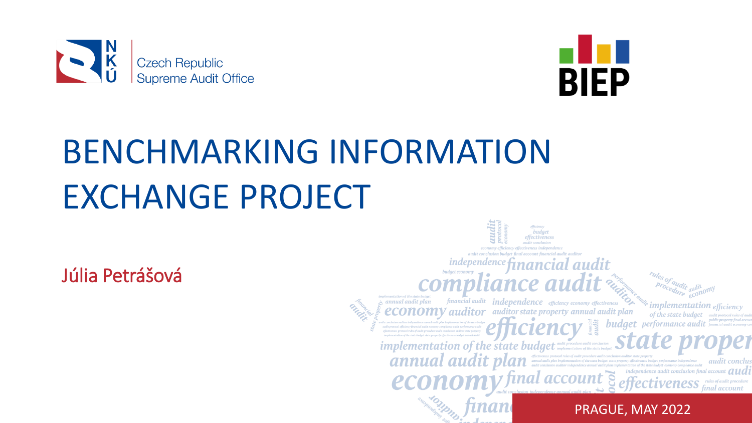



# BENCHMARKING INFORMATION EXCHANGE PROJECT

Júlia Petrášová

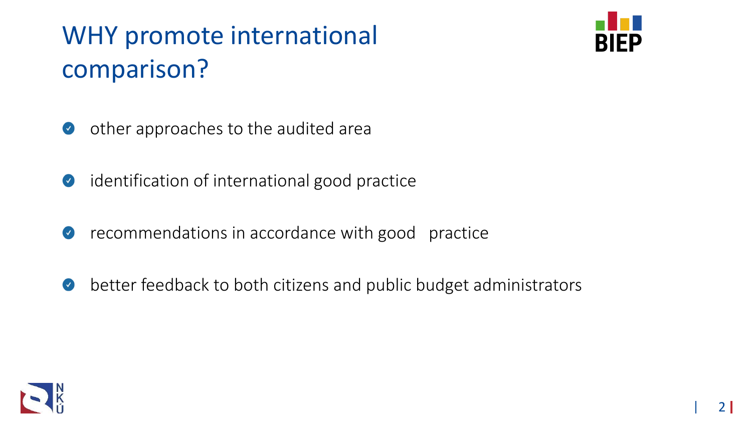### WHY promote international comparison?



- other approaches to the audited area
- identification of international good practice
- recommendations in accordance with good practice
- better feedback to both citizens and public budget administrators

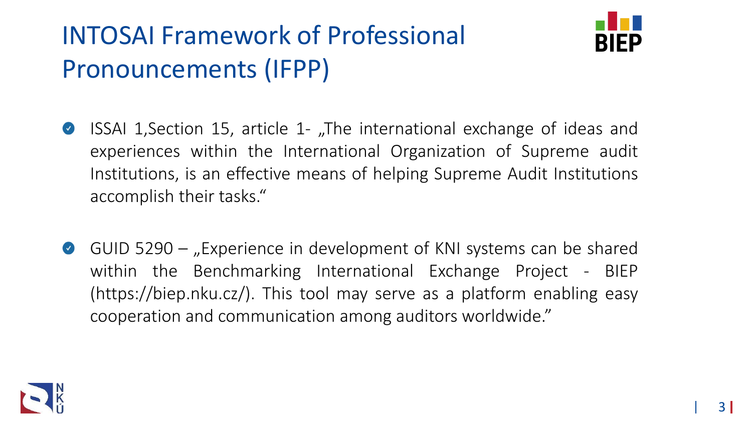### INTOSAI Framework of Professional Pronouncements (IFPP)



- ISSAI 1, Section 15, article 1- "The international exchange of ideas and  $\bullet$ experiences within the International Organization of Supreme audit Institutions, is an effective means of helping Supreme Audit Institutions accomplish their tasks."
- GUID 5290  $-$  "Experience in development of KNI systems can be shared  $\bullet$ within the Benchmarking International Exchange Project - BIEP (https://biep.nku.cz/). This tool may serve as a platform enabling easy cooperation and communication among auditors worldwide."

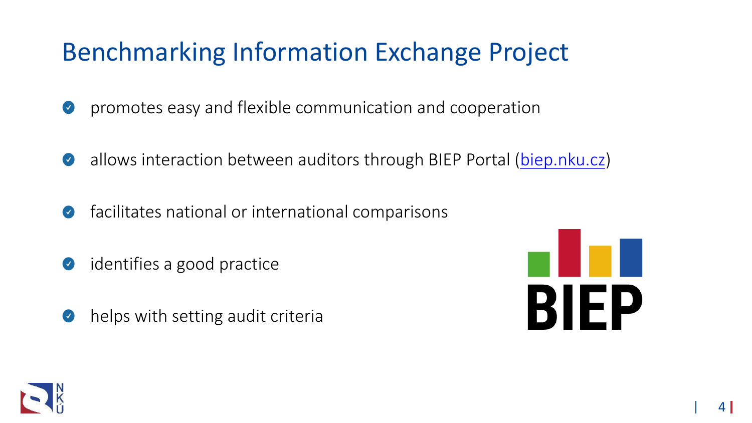### Benchmarking Information Exchange Project

- promotes easy and flexible communication and cooperation  $\bullet$
- allows interaction between auditors through BIEP Portal ([biep.nku.cz\)](https://biep.nku.cz/)  $\bullet$
- facilitates national or international comparisons  $\blacktriangledown$
- identifies a good practice  $\bullet$
- helps with setting audit criteria $\bullet$



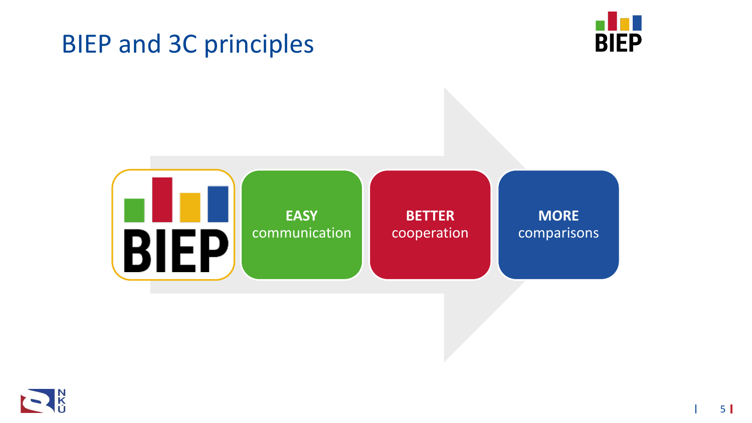### BIEP and 3C principles





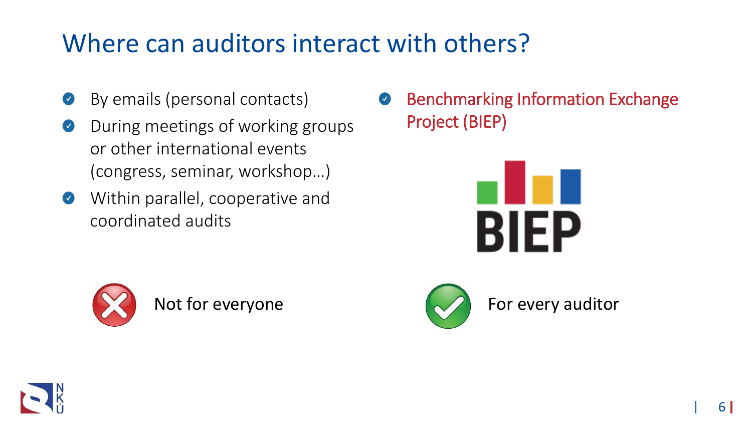### Where can auditors interact with others?

- By emails (personal contacts)  $\blacktriangledown$
- During meetings of working groups  $\bullet$ or other international events (congress, seminar, workshop…)
- Within parallel, cooperative and  $\bullet$ coordinated audits







Not for everyone  $\sim$  For every auditor



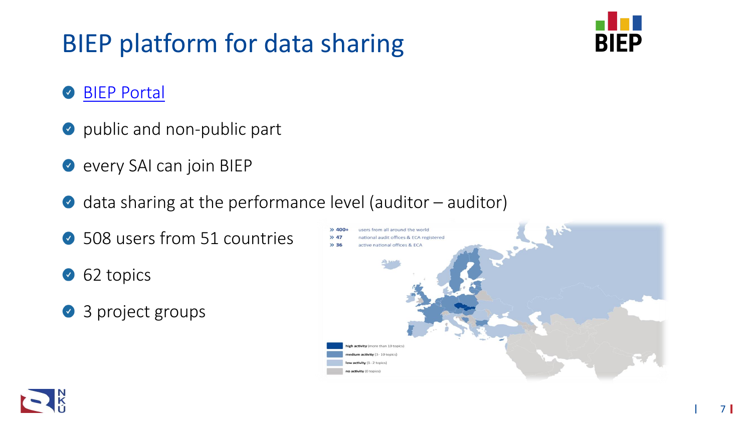### BIEP platform for data sharing



#### [BIEP Portal](biep.nku.cz)   $\blacktriangledown$

- public and non-public part
- **every SAI can join BIEP**
- $\bullet$  data sharing at the performance level (auditor auditor)
- 508 users from 51 countries
- 62 topics
- 3 project groups

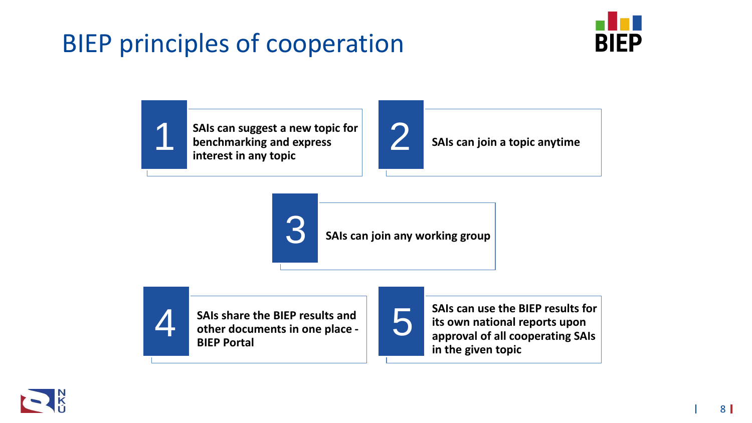### BIEP principles of cooperation



**SAIs can suggest a new topic for<br>
benchmarking and express<br>
interest in any topic benchmarking and express interest in any topic**



**SAIs can join a topic anytime**





**SAIs share the BIEP results and other documents in one place - BIEP Portal** SAIs share the BIEP results and<br>other documents in one place -



**SAIs can use the BIEP results for its own national reports upon approval of all cooperating SAIs in the given topic**

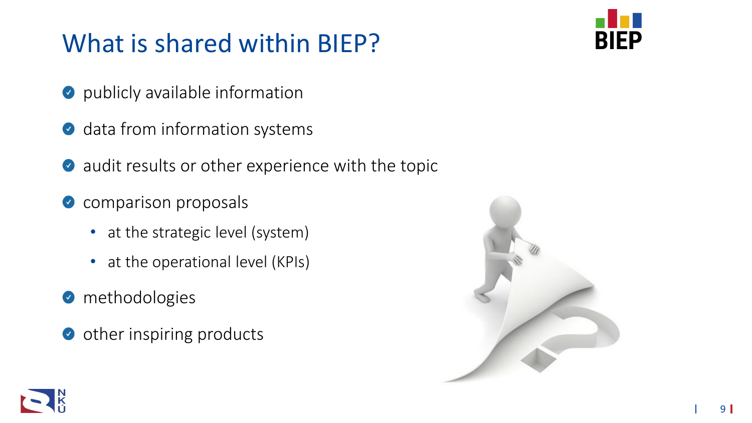### What is shared within BIEP?

**BIEP** 

- **O** publicly available information
- data from information systems  $\blacktriangledown$
- audit results or other experience with the topic  $\blacktriangledown$
- comparison proposals  $\bullet$ 
	- at the strategic level (system)
	- at the operational level (KPIs)
- **O** methodologies
- other inspiring products $\bullet$



9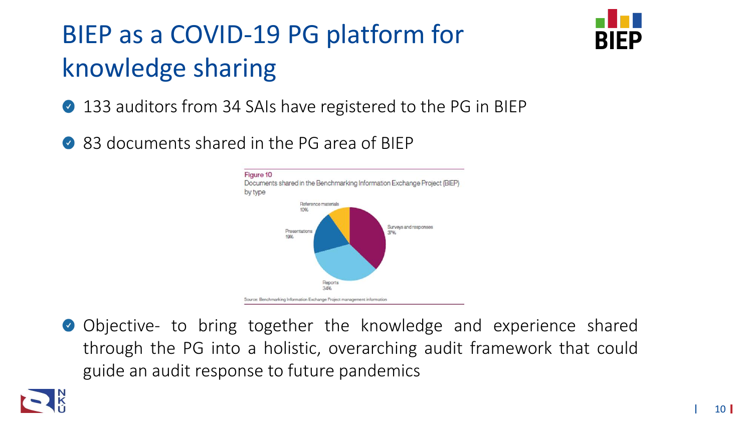## BIEP as a COVID-19 PG platform for knowledge sharing



- 133 auditors from 34 SAIs have registered to the PG in BIEP
- 83 documents shared in the PG area of BIEP



O Objective- to bring together the knowledge and experience shared through the PG into a holistic, overarching audit framework that could guide an audit response to future pandemics

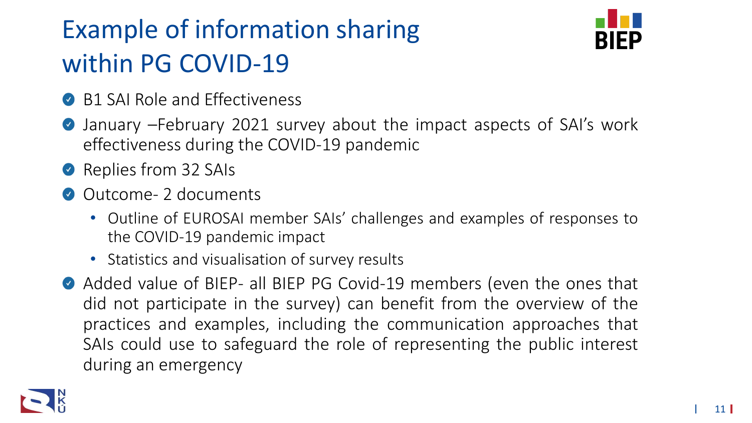### Example of information sharing within PG COVID-19



- B1 SAI Role and Effectiveness
- January –February 2021 survey about the impact aspects of SAI's work  $\bullet$ effectiveness during the COVID-19 pandemic
- Replies from 32 SAIs
- Outcome- 2 documents
	- Outline of EUROSAI member SAIs' challenges and examples of responses to the COVID-19 pandemic impact
	- Statistics and visualisation of survey results
- Added value of BIEP- all BIEP PG Covid-19 members (even the ones that did not participate in the survey) can benefit from the overview of the practices and examples, including the communication approaches that SAIs could use to safeguard the role of representing the public interest during an emergency